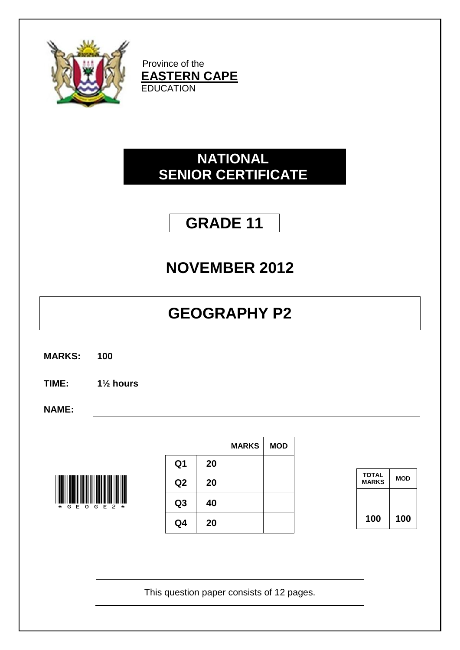

Province of the **EASTERN CAPE** EDUCATION

### **NATIONAL SENIOR CERTIFICATE**

## **GRADE 11**

## **NOVEMBER 2012**

# **GEOGRAPHY P2**

- **MARKS: 100**
- **TIME: 1½ hours**

**NAME:**



|                |    | <b>MARKS</b> | <b>MOD</b> |
|----------------|----|--------------|------------|
| Q <sub>1</sub> | 20 |              |            |
| Q <sub>2</sub> | 20 |              |            |
| Q <sub>3</sub> | 40 |              |            |
| Q4             | 20 |              |            |

| <b>TOTAL</b><br><b>MARKS</b> | MOD |
|------------------------------|-----|
|                              |     |
| 100                          | 100 |

This question paper consists of 12 pages.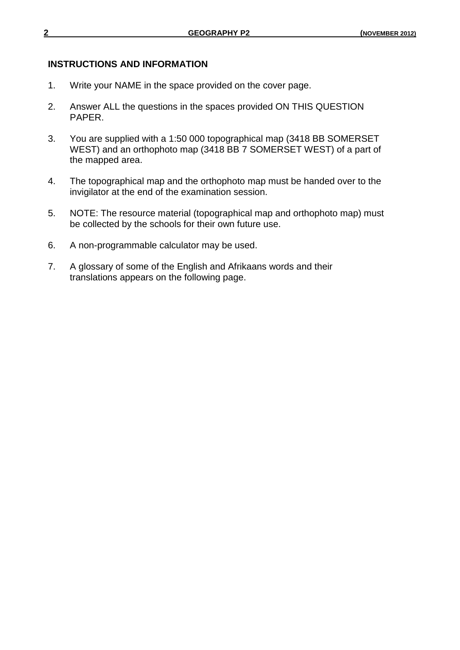#### **INSTRUCTIONS AND INFORMATION**

- 1. Write your NAME in the space provided on the cover page.
- 2. Answer ALL the questions in the spaces provided ON THIS QUESTION PAPER.
- 3. You are supplied with a 1:50 000 topographical map (3418 BB SOMERSET WEST) and an orthophoto map (3418 BB 7 SOMERSET WEST) of a part of the mapped area.
- 4. The topographical map and the orthophoto map must be handed over to the invigilator at the end of the examination session.
- 5. NOTE: The resource material (topographical map and orthophoto map) must be collected by the schools for their own future use.
- 6. A non-programmable calculator may be used.
- 7. A glossary of some of the English and Afrikaans words and their translations appears on the following page.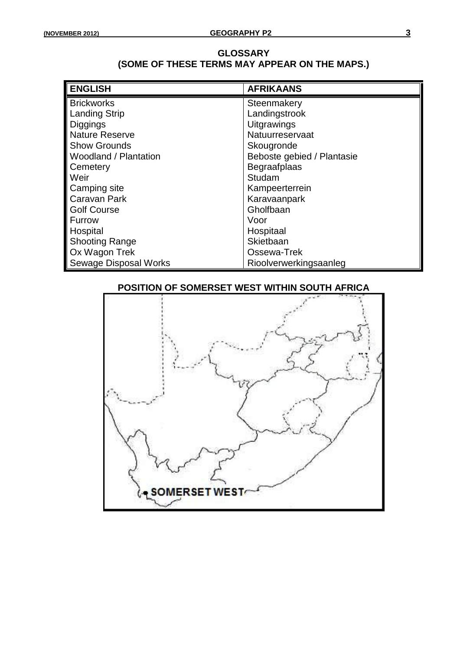#### **GLOSSARY (SOME OF THESE TERMS MAY APPEAR ON THE MAPS.)**

| <b>ENGLISH</b>               | <b>AFRIKAANS</b>           |
|------------------------------|----------------------------|
| <b>Brickworks</b>            | Steenmakery                |
| <b>Landing Strip</b>         | Landingstrook              |
| <b>Diggings</b>              | <b>Uitgrawings</b>         |
| <b>Nature Reserve</b>        | Natuurreservaat            |
| <b>Show Grounds</b>          | Skougronde                 |
| Woodland / Plantation        | Beboste gebied / Plantasie |
| Cemetery                     | Begraafplaas               |
| Weir                         | Studam                     |
| Camping site                 | Kampeerterrein             |
| Caravan Park                 | Karavaanpark               |
| <b>Golf Course</b>           | Gholfbaan                  |
| Furrow                       | Voor                       |
| Hospital                     | Hospitaal                  |
| <b>Shooting Range</b>        | Skietbaan                  |
| Ox Wagon Trek                | Ossewa-Trek                |
| <b>Sewage Disposal Works</b> | Rioolverwerkingsaanleg     |

### **POSITION OF SOMERSET WEST WITHIN SOUTH AFRICA**

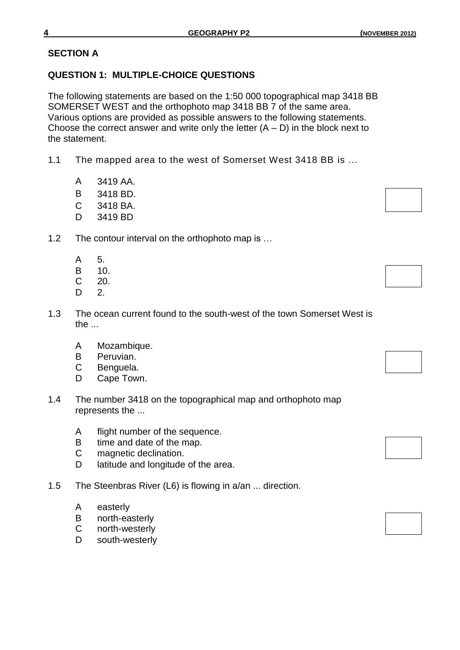#### **SECTION A**

#### **QUESTION 1: MULTIPLE-CHOICE QUESTIONS**

The following statements are based on the 1:50 000 topographical map 3418 BB SOMERSET WEST and the orthophoto map 3418 BB 7 of the same area. Various options are provided as possible answers to the following statements. Choose the correct answer and write only the letter  $(A - D)$  in the block next to the statement.

- 1.1 The mapped area to the west of Somerset West 3418 BB is …
	- A 3419 AA.
	- B 3418 BD.
	- C 3418 BA.
	- D 3419 BD
- 1.2 The contour interval on the orthophoto map is …
	- A 5.
	- B 10.
	- C 20.
	- D 2.
- 1.3 The ocean current found to the south-west of the town Somerset West is the ...
	- A Mozambique.
	- B Peruvian.
	- C Benguela.
	- D Cape Town.
- 1.4 The number 3418 on the topographical map and orthophoto map represents the ...
	- A flight number of the sequence.
	- B time and date of the map.
	- C magnetic declination.
	- D latitude and longitude of the area.
- 1.5 The Steenbras River (L6) is flowing in a/an ... direction.
	- A easterly
	- B north-easterly
	- C north-westerly
	- D south-westerly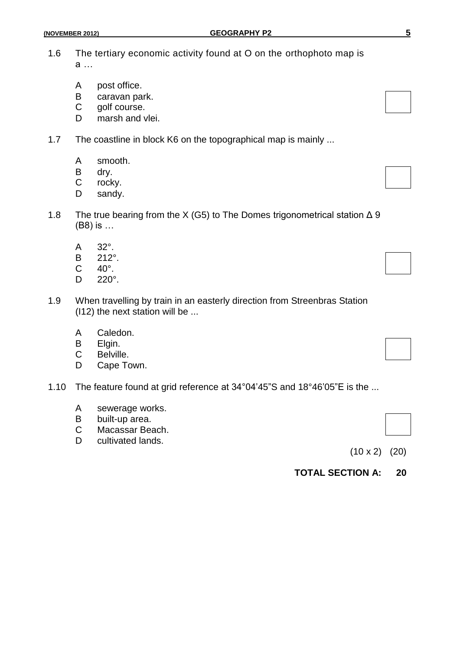- A post office.
- B caravan park.<br>C golf course.
- golf course.
- D marsh and vlei.
- 1.7 The coastline in block K6 on the topographical map is mainly ...
	- A smooth.
	- B dry.
	- C rocky.
	- D sandy.
- 1.8 The true bearing from the X (G5) to The Domes trigonometrical station  $\Delta$  9 (B8) is …
	- A 32°.
	- B  $212^{\circ}$ .<br>C  $40^{\circ}$ .
	- $40^\circ$ .
	- D 220°.
- 1.9 When travelling by train in an easterly direction from Streenbras Station (I12) the next station will be ...
	- A Caledon.
	- B Elgin.<br>C Belville
	- Belville.
	- D Cape Town.
- 1.10 The feature found at grid reference at 34°04'45"S and 18°46'05"E is the ...
	- A sewerage works.
	- B built-up area.
	- C Macassar Beach.
	- D cultivated lands.

(10 x 2) (20)

**TOTAL SECTION A: 20**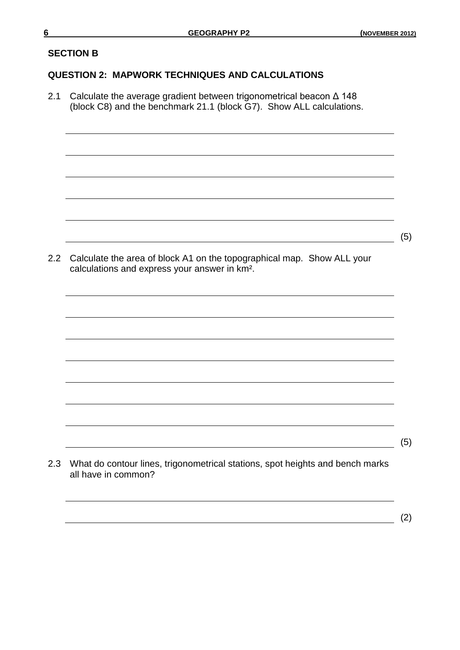$(5)$ 

#### **SECTION B**

#### **QUESTION 2: MAPWORK TECHNIQUES AND CALCULATIONS**

2.1 Calculate the average gradient between trigonometrical beacon Δ 148 (block C8) and the benchmark 21.1 (block G7). Show ALL calculations.

2.2 Calculate the area of block A1 on the topographical map. Show ALL your calculations and express your answer in km².

2.3 What do contour lines, trigonometrical stations, spot heights and bench marks all have in common?

 $(5)$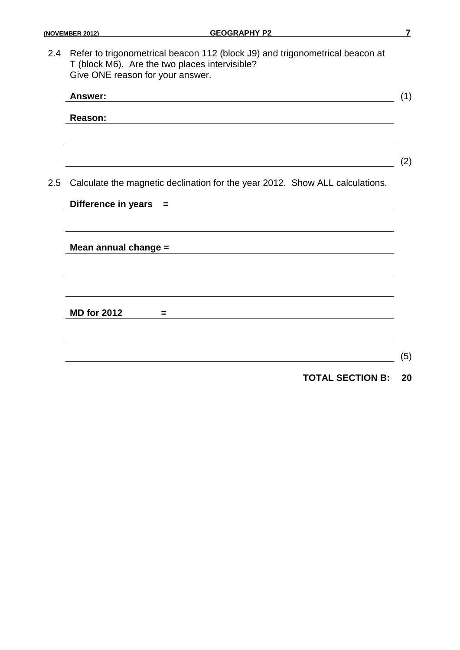2.4 Refer to trigonometrical beacon 112 (block J9) and trigonometrical beacon at T (block M6). Are the two places intervisible? Give ONE reason for your answer.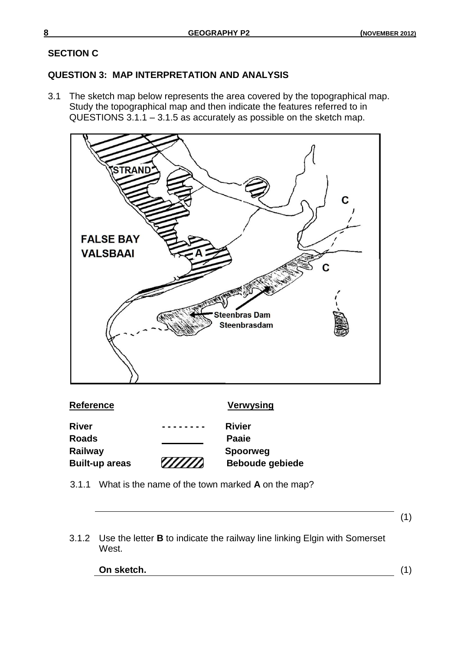(1)

#### **SECTION C**

#### **QUESTION 3: MAP INTERPRETATION AND ANALYSIS**

3.1 The sketch map below represents the area covered by the topographical map. Study the topographical map and then indicate the features referred to in QUESTIONS 3.1.1 – 3.1.5 as accurately as possible on the sketch map.



- 3.1.1 What is the name of the town marked **A** on the map?
- 3.1.2 Use the letter **B** to indicate the railway line linking Elgin with Somerset West.

| On sketch. |  |
|------------|--|
|            |  |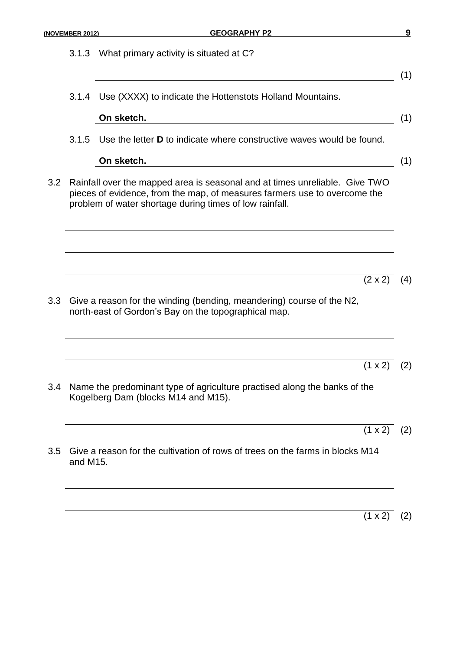|                  | (NOVEMBER 2012)                                                                                                                                                                                                     | <b>GEOGRAPHY P2</b>                                                                                                           | $\boldsymbol{9}$ |  |  |
|------------------|---------------------------------------------------------------------------------------------------------------------------------------------------------------------------------------------------------------------|-------------------------------------------------------------------------------------------------------------------------------|------------------|--|--|
|                  | 3.1.3                                                                                                                                                                                                               | What primary activity is situated at C?                                                                                       | (1)              |  |  |
|                  |                                                                                                                                                                                                                     | 3.1.4 Use (XXXX) to indicate the Hottenstots Holland Mountains.                                                               |                  |  |  |
|                  |                                                                                                                                                                                                                     | On sketch.                                                                                                                    | (1)              |  |  |
|                  |                                                                                                                                                                                                                     | 3.1.5 Use the letter <b>D</b> to indicate where constructive waves would be found.                                            |                  |  |  |
|                  |                                                                                                                                                                                                                     | On sketch.                                                                                                                    | (1)              |  |  |
| 3.2              | Rainfall over the mapped area is seasonal and at times unreliable. Give TWO<br>pieces of evidence, from the map, of measures farmers use to overcome the<br>problem of water shortage during times of low rainfall. |                                                                                                                               |                  |  |  |
|                  |                                                                                                                                                                                                                     |                                                                                                                               |                  |  |  |
|                  |                                                                                                                                                                                                                     |                                                                                                                               |                  |  |  |
|                  |                                                                                                                                                                                                                     | $(2 \times 2)$                                                                                                                | (4)              |  |  |
| 3.3 <sub>2</sub> |                                                                                                                                                                                                                     | Give a reason for the winding (bending, meandering) course of the N2,<br>north-east of Gordon's Bay on the topographical map. |                  |  |  |
|                  |                                                                                                                                                                                                                     |                                                                                                                               |                  |  |  |
|                  |                                                                                                                                                                                                                     | $(1 \times 2)$                                                                                                                | (2)              |  |  |
| $3.4^{\circ}$    |                                                                                                                                                                                                                     | Name the predominant type of agriculture practised along the banks of the<br>Kogelberg Dam (blocks M14 and M15).              |                  |  |  |
|                  |                                                                                                                                                                                                                     | $(1 x 2)$ (2)                                                                                                                 |                  |  |  |
| 3.5              | and M15.                                                                                                                                                                                                            | Give a reason for the cultivation of rows of trees on the farms in blocks M14                                                 |                  |  |  |
|                  |                                                                                                                                                                                                                     |                                                                                                                               |                  |  |  |

 $(1 \times 2)$  (2)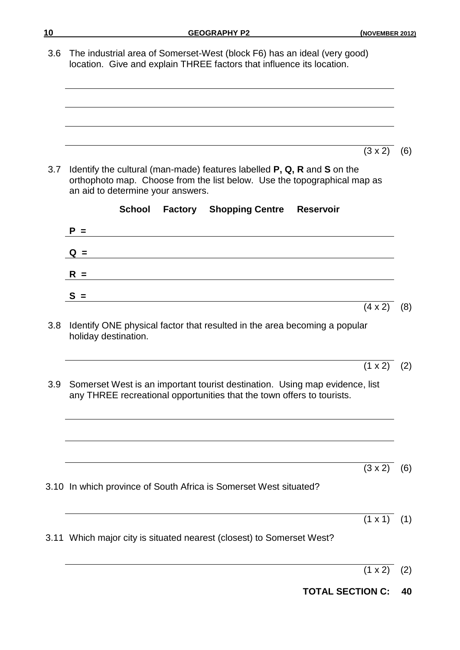3.6 The industrial area of Somerset-West (block F6) has an ideal (very good) location. Give and explain THREE factors that influence its location.

 $(3 \times 2)$  (6)

3.7 Identify the cultural (man-made) features labelled **P, Q, R** and **S** on the orthophoto map. Choose from the list below. Use the topographical map as an aid to determine your answers.

|     | <b>School</b><br><b>Factory</b> Shopping Centre<br><b>Reservoir</b>                                                                                   |                       |
|-----|-------------------------------------------------------------------------------------------------------------------------------------------------------|-----------------------|
|     | $P =$                                                                                                                                                 |                       |
|     | $Q =$                                                                                                                                                 |                       |
|     | $R =$<br><u> 1989 - Johann Harry Harry Harry Harry Harry Harry Harry Harry Harry Harry Harry Harry Harry Harry Harry Harry</u>                        |                       |
|     | $S =$                                                                                                                                                 |                       |
|     |                                                                                                                                                       | $(4 \times 2)$<br>(8) |
| 3.8 | Identify ONE physical factor that resulted in the area becoming a popular<br>holiday destination.                                                     |                       |
|     |                                                                                                                                                       | $(1 \times 2)$ (2)    |
| 3.9 | Somerset West is an important tourist destination. Using map evidence, list<br>any THREE recreational opportunities that the town offers to tourists. |                       |
|     |                                                                                                                                                       |                       |
|     |                                                                                                                                                       | $(3 \times 2)$<br>(6) |
|     | 3.10 In which province of South Africa is Somerset West situated?                                                                                     |                       |
|     |                                                                                                                                                       | $(1 \times 1)$<br>(1) |
|     | 3.11 Which major city is situated nearest (closest) to Somerset West?                                                                                 |                       |
|     |                                                                                                                                                       |                       |

- $(1 \times 2)$  (2)
- **TOTAL SECTION C: 40**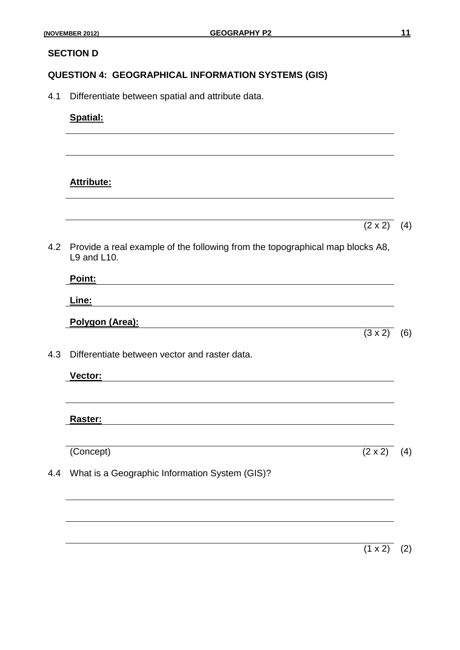#### **SECTION D**

#### **QUESTION 4: GEOGRAPHICAL INFORMATION SYSTEMS (GIS)**

4.1 Differentiate between spatial and attribute data.

#### **Spatial:**

#### **Attribute:**

 $(2 \times 2)$  (4)

 $(3 \times 2)$  (6)

4.2 Provide a real example of the following from the topographical map blocks A8, L9 and L10.

| Point:          |  |  |
|-----------------|--|--|
| <u>Line:</u>    |  |  |
| Polygon (Area): |  |  |

4.3 Differentiate between vector and raster data.

**Vector:**

**Raster:**

 $(Concept)$   $(2 \times 2)$  (4)

4.4 What is a Geographic Information System (GIS)?

 $(1 \times 2)$  (2)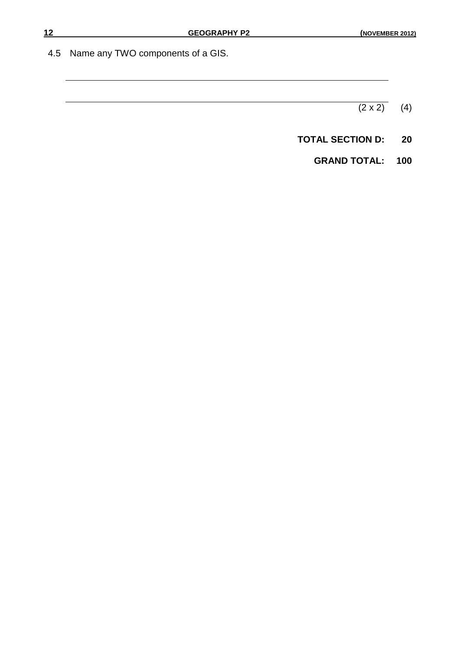4.5 Name any TWO components of a GIS.

 $(2 \times 2)$  (4)

**TOTAL SECTION D: 20**

**GRAND TOTAL: 100**